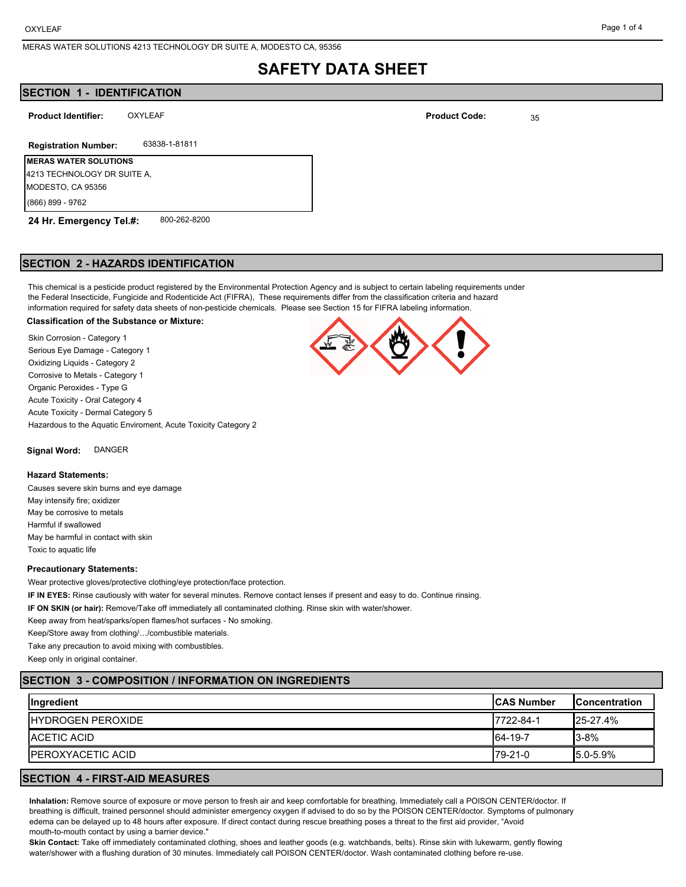# **SAFETY DATA SHEET**

# **SECTION 1 - IDENTIFICATION**

**Product Identifier:** OXYLEAF **DESIGNATION Product Code:** 25

## **Registration Number:** 63838-1-81811

**MERAS WATER SOLUTIONS**  4213 TECHNOLOGY DR SUITE A, MODESTO, CA 95356 (866) 899 - 9762

**24 Hr. Emergency Tel.#:** 800-262-8200

#### **SECTION 2 - HAZARDS IDENTIFICATION**

This chemical is a pesticide product registered by the Environmental Protection Agency and is subject to certain labeling requirements under the Federal Insecticide, Fungicide and Rodenticide Act (FIFRA), These requirements differ from the classification criteria and hazard information required for safety data sheets of non-pesticide chemicals. Please see Section 15 for FIFRA labeling information.

#### **Classification of the Substance or Mixture:**

Skin Corrosion - Category 1 Serious Eye Damage - Category 1 Oxidizing Liquids - Category 2 Corrosive to Metals - Category 1 Organic Peroxides - Type G Acute Toxicity - Oral Category 4 Acute Toxicity - Dermal Category 5 Hazardous to the Aquatic Enviroment, Acute Toxicity Category 2

**Signal Word:** DANGER

#### **Hazard Statements:**

Causes severe skin burns and eye damage May intensify fire; oxidizer May be corrosive to metals Harmful if swallowed May be harmful in contact with skin Toxic to aquatic life

#### **Precautionary Statements:**

Wear protective gloves/protective clothing/eye protection/face protection.

**IF IN EYES:** Rinse cautiously with water for several minutes. Remove contact lenses if present and easy to do. Continue rinsing.

**IF ON SKIN (or hair):** Remove/Take off immediately all contaminated clothing. Rinse skin with water/shower.

Keep away from heat/sparks/open flames/hot surfaces - No smoking.

Keep/Store away from clothing/…/combustible materials.

Take any precaution to avoid mixing with combustibles.

Keep only in original container.

# **SECTION 3 - COMPOSITION / INFORMATION ON INGREDIENTS**

| Ingredient                | <b>ICAS Number</b> | <b>IConcentration</b> |
|---------------------------|--------------------|-----------------------|
| <b>IHYDROGEN PEROXIDE</b> | 7722-84-1          | $125 - 27.4%$         |
| <b>IACETIC ACID</b>       | 64-19-7            | $13 - 8%$             |
| <b>IPEROXYACETIC ACID</b> | $I79-21-0$         | $15.0 - 5.9%$         |

## **SECTION 4 - FIRST-AID MEASURES**

**Inhalation:** Remove source of exposure or move person to fresh air and keep comfortable for breathing. Immediately call a POISON CENTER/doctor. If breathing is difficult, trained personnel should administer emergency oxygen if advised to do so by the POISON CENTER/doctor. Symptoms of pulmonary edema can be delayed up to 48 hours after exposure. If direct contact during rescue breathing poses a threat to the first aid provider, "Avoid mouth-to-mouth contact by using a barrier device."

**Skin Contact:** Take off immediately contaminated clothing, shoes and leather goods (e.g. watchbands, belts). Rinse skin with lukewarm, gently flowing water/shower with a flushing duration of 30 minutes. Immediately call POISON CENTER/doctor. Wash contaminated clothing before re-use.



**Product Code:**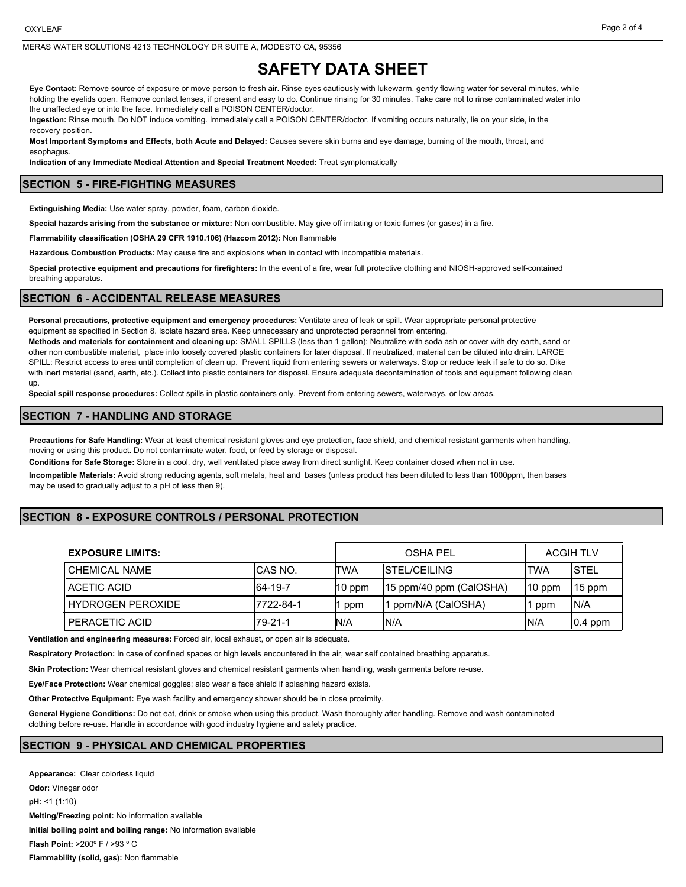#### MERAS WATER SOLUTIONS 4213 TECHNOLOGY DR SUITE A, MODESTO CA, 95356

# **SAFETY DATA SHEET**

**Eye Contact:** Remove source of exposure or move person to fresh air. Rinse eyes cautiously with lukewarm, gently flowing water for several minutes, while holding the eyelids open. Remove contact lenses, if present and easy to do. Continue rinsing for 30 minutes. Take care not to rinse contaminated water into the unaffected eye or into the face. Immediately call a POISON CENTER/doctor.

**Ingestion:** Rinse mouth. Do NOT induce vomiting. Immediately call a POISON CENTER/doctor. If vomiting occurs naturally, lie on your side, in the recovery position.

**Most Important Symptoms and Effects, both Acute and Delayed:** Causes severe skin burns and eye damage, burning of the mouth, throat, and esophagus

**Indication of any Immediate Medical Attention and Special Treatment Needed:** Treat symptomatically

#### **SECTION 5 - FIRE-FIGHTING MEASURES**

**Extinguishing Media:** Use water spray, powder, foam, carbon dioxide.

**Special hazards arising from the substance or mixture:** Non combustible. May give off irritating or toxic fumes (or gases) in a fire.

**Flammability classification (OSHA 29 CFR 1910.106) (Hazcom 2012):** Non flammable

**Hazardous Combustion Products:** May cause fire and explosions when in contact with incompatible materials.

**Special protective equipment and precautions for firefighters:** In the event of a fire, wear full protective clothing and NIOSH-approved self-contained breathing apparatus.

#### **SECTION 6 - ACCIDENTAL RELEASE MEASURES**

**Personal precautions, protective equipment and emergency procedures:** Ventilate area of leak or spill. Wear appropriate personal protective equipment as specified in Section 8. Isolate hazard area. Keep unnecessary and unprotected personnel from entering.

**Methods and materials for containment and cleaning up:** SMALL SPILLS (less than 1 gallon): Neutralize with soda ash or cover with dry earth, sand or other non combustible material, place into loosely covered plastic containers for later disposal. If neutralized, material can be diluted into drain. LARGE SPILL: Restrict access to area until completion of clean up. Prevent liquid from entering sewers or waterways. Stop or reduce leak if safe to do so. Dike with inert material (sand, earth, etc.). Collect into plastic containers for disposal. Ensure adequate decontamination of tools and equipment following clean up.

**Special spill response procedures:** Collect spills in plastic containers only. Prevent from entering sewers, waterways, or low areas.

#### **SECTION 7 - HANDLING AND STORAGE**

**Precautions for Safe Handling:** Wear at least chemical resistant gloves and eye protection, face shield, and chemical resistant garments when handling, moving or using this product. Do not contaminate water, food, or feed by storage or disposal.

**Conditions for Safe Storage:** Store in a cool, dry, well ventilated place away from direct sunlight. Keep container closed when not in use.

**Incompatible Materials:** Avoid strong reducing agents, soft metals, heat and bases (unless product has been diluted to less than 1000ppm, then bases may be used to gradually adjust to a pH of less then 9).

## **SECTION 8 - EXPOSURE CONTROLS / PERSONAL PROTECTION**

| <b>EXPOSURE LIMITS:</b> |            | OSHA PFI |                          | <b>ACGIH TLV</b> |             |
|-------------------------|------------|----------|--------------------------|------------------|-------------|
| <b>CHEMICAL NAME</b>    | ICAS NO.   | ITWA     | <b>ISTEL/CEILING</b>     | ITWA             | <b>STEL</b> |
| ACETIC ACID             | 64-19-7    | $10$ ppm | [15 ppm/40 ppm (CalOSHA) | $110$ ppm        | 15 ppm      |
| HYDROGEN PEROXIDE       | 17722-84-1 | ppm      | 11 ppm/N/A (CalOSHA)     | ppm              | N/A         |
| PERACETIC ACID          | $I79-21-1$ | N/A      | IN/A                     | IN/A             | $ 0.4$ ppm  |

**Ventilation and engineering measures:** Forced air, local exhaust, or open air is adequate.

**Respiratory Protection:** In case of confined spaces or high levels encountered in the air, wear self contained breathing apparatus.

**Skin Protection:** Wear chemical resistant gloves and chemical resistant garments when handling, wash garments before re-use.

**Eye/Face Protection:** Wear chemical goggles; also wear a face shield if splashing hazard exists.

**Other Protective Equipment:** Eye wash facility and emergency shower should be in close proximity.

**General Hygiene Conditions:** Do not eat, drink or smoke when using this product. Wash thoroughly after handling. Remove and wash contaminated clothing before re-use. Handle in accordance with good industry hygiene and safety practice.

### **SECTION 9 - PHYSICAL AND CHEMICAL PROPERTIES**

**Appearance:** Clear colorless liquid **Odor:** Vinegar odor **pH:** <1 (1:10) **Melting/Freezing point:** No information available **Initial boiling point and boiling range:** No information available **Flash Point:** >200º F / >93 º C **Flammability (solid, gas):** Non flammable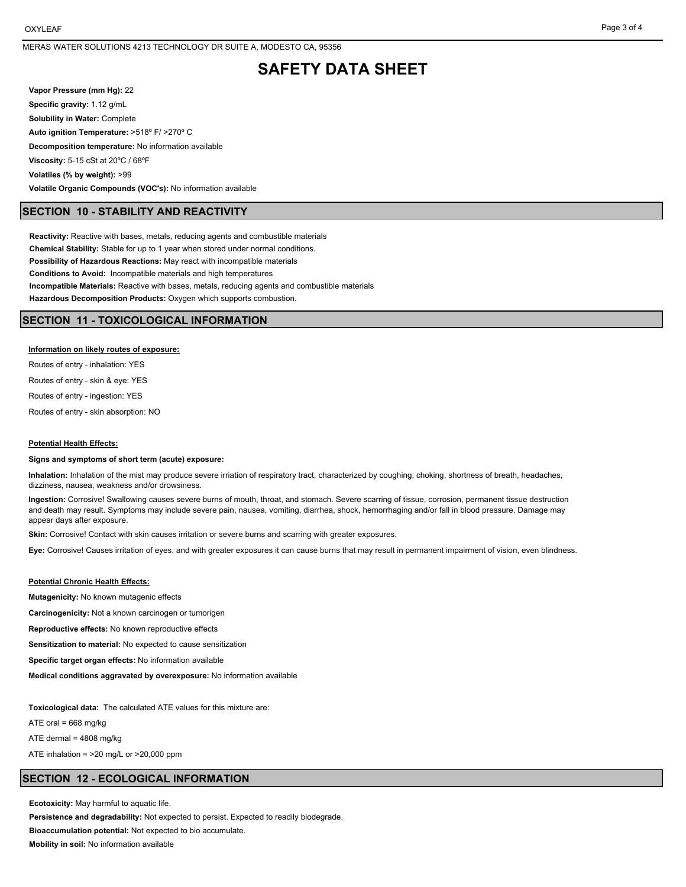# **SAFETY DATA SHEET**

**Vapor Pressure (mm Hg):** 22 **Specific gravity:** 1.12 g/mL **Solubility in Water:** Complete **Auto ignition Temperature:** >518º F/ >270º C **Decomposition temperature:** No information available **Viscosity:** 5-15 cSt at 20ºC / 68ºF **Volatiles (% by weight):** >99 **Volatile Organic Compounds (VOC's):** No information available

### **SECTION 10 - STABILITY AND REACTIVITY**

**Reactivity:** Reactive with bases, metals, reducing agents and combustible materials **Chemical Stability:** Stable for up to 1 year when stored under normal conditions. **Possibility of Hazardous Reactions:** May react with incompatible materials **Conditions to Avoid:** Incompatible materials and high temperatures **Incompatible Materials:** Reactive with bases, metals, reducing agents and combustible materials **Hazardous Decomposition Products:** Oxygen which supports combustion.

### **SECTION 11 - TOXICOLOGICAL INFORMATION**

#### **Information on likely routes of exposure:**

Routes of entry - inhalation: YES

Routes of entry - skin & eye: YES

Routes of entry - ingestion: YES

Routes of entry - skin absorption: NO

#### **Potential Health Effects:**

#### **Signs and symptoms of short term (acute) exposure:**

**Inhalation:** Inhalation of the mist may produce severe irriation of respiratory tract, characterized by coughing, choking, shortness of breath, headaches, dizziness, nausea, weakness and/or drowsiness.

**Ingestion:** Corrosive! Swallowing causes severe burns of mouth, throat, and stomach. Severe scarring of tissue, corrosion, permanent tissue destruction and death may result. Symptoms may include severe pain, nausea, vomiting, diarrhea, shock, hemorrhaging and/or fall in blood pressure. Damage may appear days after exposure.

**Skin:** Corrosive! Contact with skin causes irritation or severe burns and scarring with greater exposures.

**Eye:** Corrosive! Causes irritation of eyes, and with greater exposures it can cause burns that may result in permanent impairment of vision, even blindness.

#### **Potential Chronic Health Effects:**

**Mutagenicity:** No known mutagenic effects

**Carcinogenicity:** Not a known carcinogen or tumorigen

**Reproductive effects:** No known reproductive effects

**Sensitization to material:** No expected to cause sensitization

**Specific target organ effects:** No information available

**Medical conditions aggravated by overexposure:** No information available

**Toxicological data:** The calculated ATE values for this mixture are:

ATE oral =  $668$  mg/kg

ATE dermal = 4808 mg/kg

ATE inhalation =  $>20$  mg/L or  $>20,000$  ppm

#### **SECTION 12 - ECOLOGICAL INFORMATION**

**Ecotoxicity:** May harmful to aquatic life.

**Persistence and degradability:** Not expected to persist. Expected to readily biodegrade. **Bioaccumulation potential:** Not expected to bio accumulate. **Mobility in soil:** No information available